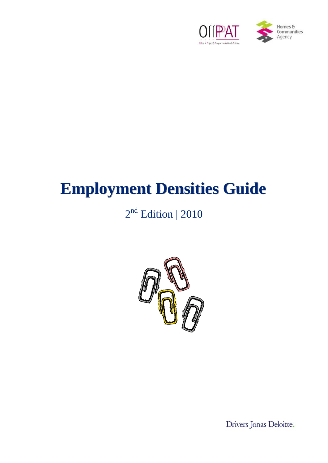

# **Employment Densities Guide**

## 2<sup>nd</sup> Edition | 2010



Drivers Jonas Deloitte.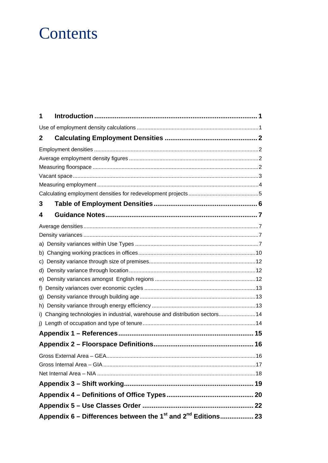## Contents

| 1 |                                                                                      |  |
|---|--------------------------------------------------------------------------------------|--|
|   |                                                                                      |  |
| 2 |                                                                                      |  |
|   |                                                                                      |  |
|   |                                                                                      |  |
|   |                                                                                      |  |
|   |                                                                                      |  |
|   |                                                                                      |  |
|   |                                                                                      |  |
| 3 |                                                                                      |  |
| 4 |                                                                                      |  |
|   |                                                                                      |  |
|   |                                                                                      |  |
|   |                                                                                      |  |
|   |                                                                                      |  |
|   |                                                                                      |  |
|   |                                                                                      |  |
|   |                                                                                      |  |
|   |                                                                                      |  |
|   |                                                                                      |  |
|   |                                                                                      |  |
|   | i) Changing technologies in industrial, warehouse and distribution sectors 14        |  |
|   |                                                                                      |  |
|   |                                                                                      |  |
|   |                                                                                      |  |
|   |                                                                                      |  |
|   |                                                                                      |  |
|   |                                                                                      |  |
|   |                                                                                      |  |
|   |                                                                                      |  |
|   |                                                                                      |  |
|   | Appendix 6 – Differences between the 1 <sup>st</sup> and 2 <sup>nd</sup> Editions 23 |  |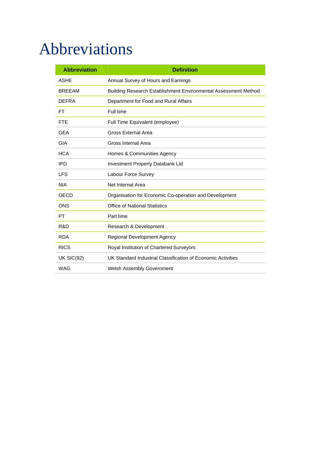## Abbreviations

| <b>Abbreviation</b> | <b>Definition</b>                                               |  |
|---------------------|-----------------------------------------------------------------|--|
| <b>ASHE</b>         | Annual Survey of Hours and Earnings                             |  |
| <b>BREEAM</b>       | Building Research Establishment Environmental Assessment Method |  |
| <b>DEFRA</b>        | Department for Food and Rural Affairs                           |  |
| FT.                 | Full time                                                       |  |
| <b>FTE</b>          | Full Time Equivalent (employee)                                 |  |
| <b>GEA</b>          | <b>Gross External Area</b>                                      |  |
| GIA                 | Gross Internal Area                                             |  |
| <b>HCA</b>          | Homes & Communities Agency                                      |  |
| <b>IPD</b>          | <b>Investment Property Databank Ltd</b>                         |  |
| <b>LFS</b>          | Labour Force Survey                                             |  |
| <b>NIA</b>          | Net Internal Area                                               |  |
| OECD                | Organisation for Economic Co-operation and Development          |  |
| <b>ONS</b>          | <b>Office of National Statistics</b>                            |  |
| <b>PT</b>           | Part time                                                       |  |
| R&D                 | Research & Development                                          |  |
| <b>RDA</b>          | Regional Development Agency                                     |  |
| <b>RICS</b>         | Royal Institution of Chartered Surveyors                        |  |
| <b>UK SIC(92)</b>   | UK Standard Industrial Classification of Economic Activities    |  |
| <b>WAG</b>          | <b>Welsh Assembly Government</b>                                |  |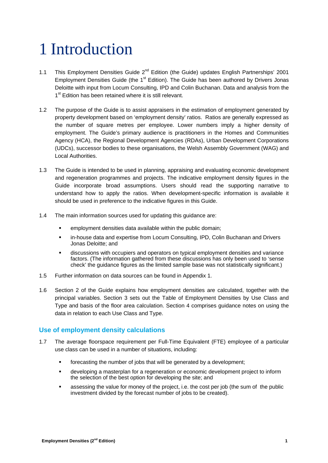## 1 Introduction

- 1.1 This Employment Densities Guide  $2^{nd}$  Edition (the Guide) updates English Partnerships' 2001 Employment Densities Guide (the 1<sup>st</sup> Edition). The Guide has been authored by Drivers Jonas Deloitte with input from Locum Consulting, IPD and Colin Buchanan. Data and analysis from the 1<sup>st</sup> Edition has been retained where it is still relevant.
- 1.2 The purpose of the Guide is to assist appraisers in the estimation of employment generated by property development based on 'employment density' ratios. Ratios are generally expressed as the number of square metres per employee. Lower numbers imply a higher density of employment. The Guide's primary audience is practitioners in the Homes and Communities Agency (HCA), the Regional Development Agencies (RDAs), Urban Development Corporations (UDCs), successor bodies to these organisations, the Welsh Assembly Government (WAG) and Local Authorities.
- 1.3 The Guide is intended to be used in planning, appraising and evaluating economic development and regeneration programmes and projects. The indicative employment density figures in the Guide incorporate broad assumptions. Users should read the supporting narrative to understand how to apply the ratios. When development-specific information is available it should be used in preference to the indicative figures in this Guide.
- 1.4 The main information sources used for updating this guidance are:
	- employment densities data available within the public domain;
	- in-house data and expertise from Locum Consulting, IPD, Colin Buchanan and Drivers Jonas Deloitte; and
	- discussions with occupiers and operators on typical employment densities and variance factors. (The information gathered from these discussions has only been used to 'sense check' the guidance figures as the limited sample base was not statistically significant.)
- 1.5 Further information on data sources can be found in Appendix 1.
- 1.6 Section 2 of the Guide explains how employment densities are calculated, together with the principal variables. Section 3 sets out the Table of Employment Densities by Use Class and Type and basis of the floor area calculation. Section 4 comprises guidance notes on using the data in relation to each Use Class and Type.

### **Use of employment density calculations**

- 1.7 The average floorspace requirement per Full-Time Equivalent (FTE) employee of a particular use class can be used in a number of situations, including:
	- forecasting the number of jobs that will be generated by a development;
	- developing a masterplan for a regeneration or economic development project to inform the selection of the best option for developing the site; and
	- assessing the value for money of the project, i.e. the cost per job (the sum of the public investment divided by the forecast number of jobs to be created).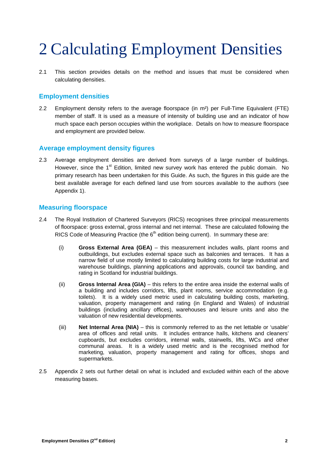## 2 Calculating Employment Densities

2.1 This section provides details on the method and issues that must be considered when calculating densities.

## **Employment densities**

2.2 Employment density refers to the average floorspace (in m<sup>2</sup>) per Full-Time Equivalent (FTE) member of staff. It is used as a measure of intensity of building use and an indicator of how much space each person occupies within the workplace. Details on how to measure floorspace and employment are provided below.

## **Average employment density figures**

2.3 Average employment densities are derived from surveys of a large number of buildings. However, since the  $1<sup>st</sup>$  Edition, limited new survey work has entered the public domain. No primary research has been undertaken for this Guide. As such, the figures in this guide are the best available average for each defined land use from sources available to the authors (see Appendix 1).

### **Measuring floorspace**

- 2.4 The Royal Institution of Chartered Surveyors (RICS) recognises three principal measurements of floorspace: gross external, gross internal and net internal. These are calculated following the RICS Code of Measuring Practice (the  $6<sup>th</sup>$  edition being current). In summary these are:
	- (i) **Gross External Area (GEA)**  this measurement includes walls, plant rooms and outbuildings, but excludes external space such as balconies and terraces. It has a narrow field of use mostly limited to calculating building costs for large industrial and warehouse buildings, planning applications and approvals, council tax banding, and rating in Scotland for industrial buildings.
	- (ii) **Gross Internal Area (GIA)**  this refers to the entire area inside the external walls of a building and includes corridors, lifts, plant rooms, service accommodation (e.g. toilets). It is a widely used metric used in calculating building costs, marketing, valuation, property management and rating (in England and Wales) of industrial buildings (including ancillary offices), warehouses and leisure units and also the valuation of new residential developments.
	- (iii) **Net Internal Area (NIA)**  this is commonly referred to as the net lettable or 'usable' area of offices and retail units. It includes entrance halls, kitchens and cleaners' cupboards, but excludes corridors, internal walls, stairwells, lifts, WCs and other communal areas. It is a widely used metric and is the recognised method for marketing, valuation, property management and rating for offices, shops and supermarkets.
- 2.5 Appendix 2 sets out further detail on what is included and excluded within each of the above measuring bases.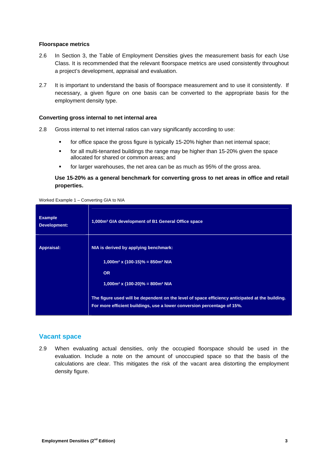#### **Floorspace metrics**

- 2.6 In Section 3, the Table of Employment Densities gives the measurement basis for each Use Class. It is recommended that the relevant floorspace metrics are used consistently throughout a project's development, appraisal and evaluation.
- 2.7 It is important to understand the basis of floorspace measurement and to use it consistently. If necessary, a given figure on one basis can be converted to the appropriate basis for the employment density type.

#### **Converting gross internal to net internal area**

- 2.8 Gross internal to net internal ratios can vary significantly according to use:
	- for office space the gross figure is typically 15-20% higher than net internal space;
	- for all multi-tenanted buildings the range may be higher than 15-20% given the space allocated for shared or common areas; and
	- for larger warehouses, the net area can be as much as 95% of the gross area.

#### **Use 15-20% as a general benchmark for converting gross to net areas in office and retail properties.**

#### Worked Example 1 – Converting GIA to NIA

| <b>Example</b><br>Development: | 1,000m <sup>2</sup> GIA development of B1 General Office space                                                                                                             |  |
|--------------------------------|----------------------------------------------------------------------------------------------------------------------------------------------------------------------------|--|
| Appraisal:                     | NIA is derived by applying benchmark:<br>$1,000$ m <sup>2</sup> x (100-15)% = 850m <sup>2</sup> NIA                                                                        |  |
|                                | <b>OR</b><br>$1,000$ m <sup>2</sup> x (100-20)% = 800m <sup>2</sup> NIA                                                                                                    |  |
|                                | The figure used will be dependent on the level of space efficiency anticipated at the building.<br>For more efficient buildings, use a lower conversion percentage of 15%. |  |

#### **Vacant space**

2.9 When evaluating actual densities, only the occupied floorspace should be used in the evaluation. Include a note on the amount of unoccupied space so that the basis of the calculations are clear. This mitigates the risk of the vacant area distorting the employment density figure.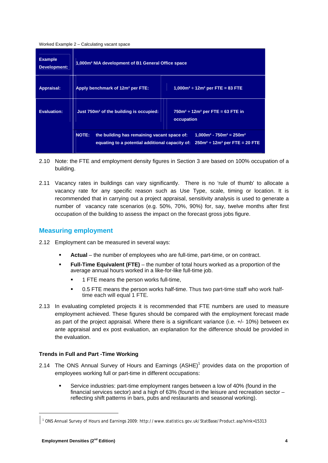#### Worked Example 2 – Calculating vacant space

| <b>Example</b><br>Development: | 1,000m <sup>2</sup> NIA development of B1 General Office space                                                                                                                      |  |  |
|--------------------------------|-------------------------------------------------------------------------------------------------------------------------------------------------------------------------------------|--|--|
| Appraisal:                     | $1,000m^2 \div 12m^2$ per FTE = 83 FTE<br>Apply benchmark of 12m <sup>2</sup> per FTE:                                                                                              |  |  |
| <b>Evaluation:</b>             | $750m^2 \div 12m^2$ per FTE = 63 FTE in<br>Just 750m <sup>2</sup> of the building is occupied:<br>occupation                                                                        |  |  |
|                                | <b>NOTE:</b><br>the building has remaining vacant space of:<br>$1,000m^2 - 750m^2 = 250m^2$<br>equating to a potential additional capacity of: $250m^2 \div 12m^2$ per FTE = 20 FTE |  |  |

- 2.10 Note: the FTE and employment density figures in Section 3 are based on 100% occupation of a building.
- 2.11 Vacancy rates in buildings can vary significantly. There is no 'rule of thumb' to allocate a vacancy rate for any specific reason such as Use Type, scale, timing or location. It is recommended that in carrying out a project appraisal, sensitivity analysis is used to generate a number of vacancy rate scenarios (e.g. 50%, 70%, 90%) for, say, twelve months after first occupation of the building to assess the impact on the forecast gross jobs figure.

### **Measuring employment**

- 2.12 Employment can be measured in several ways:
	- **Actual**  the number of employees who are full-time, part-time, or on contract.
	- **Full-Time Equivalent (FTE)** the number of total hours worked as a proportion of the average annual hours worked in a like-for-like full-time job.
		- 1 FTE means the person works full-time,
		- 0.5 FTE means the person works half-time. Thus two part-time staff who work halftime each will equal 1 FTE.
- 2.13 In evaluating completed projects it is recommended that FTE numbers are used to measure employment achieved. These figures should be compared with the employment forecast made as part of the project appraisal. Where there is a significant variance (i.e. +/- 10%) between ex ante appraisal and ex post evaluation, an explanation for the difference should be provided in the evaluation.

#### **Trends in Full and Part -Time Working**

- 2.14 The ONS Annual Survey of Hours and Earnings  $(ASHE)^1$  provides data on the proportion of employees working full or part-time in different occupations:
	- Service industries: part-time employment ranges between a low of 40% (found in the financial services sector) and a high of 63% (found in the leisure and recreation sector – reflecting shift patterns in bars, pubs and restaurants and seasonal working).

<sup>1</sup> ONS Annual Survey of Hours and Earnings 2009: http://www.statistics.gov.uk/StatBase/Product.asp?vlnk=15313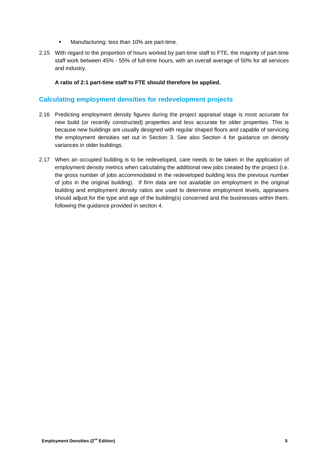- **Manufacturing: less than 10% are part-time.**
- 2.15 With regard to the proportion of hours worked by part-time staff to FTE, the majority of part-time staff work between 45% - 55% of full-time hours, with an overall average of 50% for all services and industry.

#### **A ratio of 2:1 part-time staff to FTE should therefore be applied.**

### **Calculating employment densities for redevelopment projects**

- 2.16 Predicting employment density figures during the project appraisal stage is most accurate for new build (or recently constructed) properties and less accurate for older properties. This is because new buildings are usually designed with regular shaped floors and capable of servicing the employment densities set out in Section 3. See also Section 4 for guidance on density variances in older buildings.
- 2.17 When an occupied building is to be redeveloped, care needs to be taken in the application of employment density metrics when calculating the additional new jobs created by the project (i.e. the gross number of jobs accommodated in the redeveloped building less the previous number of jobs in the original building). If firm data are not available on employment in the original building and employment density ratios are used to determine employment levels, appraisers should adjust for the type and age of the building(s) concerned and the businesses within them, following the guidance provided in section 4.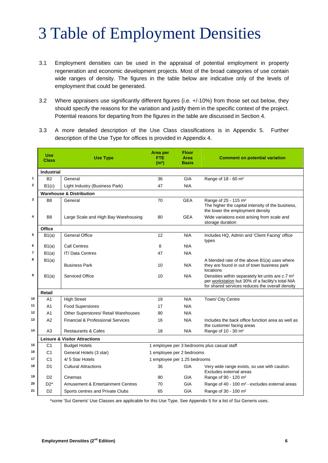## 3 Table of Employment Densities

- 3.1 Employment densities can be used in the appraisal of potential employment in property regeneration and economic development projects. Most of the broad categories of use contain wide ranges of density. The figures in the table below are indicative only of the levels of employment that could be generated.
- 3.2 Where appraisers use significantly different figures (i.e. +/-10%) from those set out below, they should specify the reasons for the variation and justify them in the specific context of the project. Potential reasons for departing from the figures in the table are discussed in Section 4.
- 3.3 A more detailed description of the Use Class classifications is in Appendix 5. Further description of the Use Type for offices is provided in Appendix 4.

|                | <b>Use</b><br><b>Class</b> | <b>Use Type</b>                              | Area per<br>FTE<br>(m <sup>2</sup> ) | <b>Floor</b><br>Area<br><b>Basis</b> | <b>Comment on potential variation</b>                                                                                                                                |
|----------------|----------------------------|----------------------------------------------|--------------------------------------|--------------------------------------|----------------------------------------------------------------------------------------------------------------------------------------------------------------------|
|                | <b>Industrial</b>          |                                              |                                      |                                      |                                                                                                                                                                      |
| 1              | <b>B2</b>                  | General                                      | 36                                   | <b>GIA</b>                           | Range of 18 - 60 m <sup>2</sup>                                                                                                                                      |
| $\overline{2}$ | B1(c)                      | Light Industry (Business Park)               | 47                                   | <b>NIA</b>                           |                                                                                                                                                                      |
|                |                            | <b>Warehouse &amp; Distribution</b>          |                                      |                                      |                                                                                                                                                                      |
| 3              | B <sub>8</sub>             | General                                      | 70                                   | <b>GEA</b>                           | Range of 25 - 115 m <sup>2</sup><br>The higher the capital intensity of the business,<br>the lower the employment density                                            |
| 4              | B <sub>8</sub>             | Large Scale and High Bay Warehousing         | 80                                   | <b>GEA</b>                           | Wide variations exist arising from scale and<br>storage duration                                                                                                     |
|                | Office                     |                                              |                                      |                                      |                                                                                                                                                                      |
| 5              | B1(a)                      | <b>General Office</b>                        | 12                                   | <b>NIA</b>                           | Includes HQ, Admin and 'Client Facing' office<br>types                                                                                                               |
| 6              | B1(a)                      | Call Centres                                 | 8                                    | <b>NIA</b>                           |                                                                                                                                                                      |
| $\overline{7}$ | B1(a)                      | <b>IT/ Data Centres</b>                      | 47                                   | <b>NIA</b>                           |                                                                                                                                                                      |
| 8              | B1(a)                      | <b>Business Park</b>                         | 10                                   | <b>NIA</b>                           | A blended rate of the above B1(a) uses where<br>they are found in out of town business park<br>locations                                                             |
| 9              | B1(a)                      | <b>Serviced Office</b>                       | 10                                   | <b>NIA</b>                           | Densities within separately let units are c.7 m <sup>2</sup><br>per workstation but 30% of a facility's total NIA<br>for shared services reduces the overall density |
|                | <b>Retail</b>              |                                              |                                      |                                      |                                                                                                                                                                      |
| 10             | A <sub>1</sub>             | <b>High Street</b>                           | 19                                   | <b>NIA</b>                           | Town/ City Centre                                                                                                                                                    |
| 11             | A <sub>1</sub>             | <b>Food Superstores</b>                      | 17                                   | <b>NIA</b>                           |                                                                                                                                                                      |
| 12             | A <sub>1</sub>             | Other Superstores/ Retail Warehouses         | 90                                   | <b>NIA</b>                           |                                                                                                                                                                      |
| 13             | A2                         | Financial & Professional Services            | 16                                   | <b>NIA</b>                           | Includes the back office function area as well as<br>the customer facing areas                                                                                       |
| 14             | A3                         | <b>Restaurants &amp; Cafes</b>               | 18                                   | <b>NIA</b>                           | Range of 10 - 30 m <sup>2</sup>                                                                                                                                      |
|                |                            | <b>Leisure &amp; Visitor Attractions</b>     |                                      |                                      |                                                                                                                                                                      |
| 15             | C <sub>1</sub>             | <b>Budget Hotels</b>                         |                                      |                                      | 1 employee per 3 bedrooms plus casual staff                                                                                                                          |
| 16             | C <sub>1</sub>             | General Hotels (3 star)                      | 1 employee per 2 bedrooms            |                                      |                                                                                                                                                                      |
| 17             | C <sub>1</sub>             | 4/5 Star Hotels                              | 1 employee per 1.25 bedrooms         |                                      |                                                                                                                                                                      |
| 18             | D <sub>1</sub>             | <b>Cultural Attractions</b>                  | 36                                   | <b>GIA</b>                           | Very wide range exists, so use with caution.<br>Excludes external areas                                                                                              |
| 19             | D <sub>2</sub>             | Cinemas                                      | 90                                   | <b>GIA</b>                           | Range of 90 - 120 m <sup>2</sup>                                                                                                                                     |
| 20             | $D2^*$                     | <b>Amusement &amp; Entertainment Centres</b> | 70                                   | <b>GIA</b>                           | Range of 40 - 100 m <sup>2</sup> - excludes external areas                                                                                                           |
| 21             | D <sub>2</sub>             | Sports centres and Private Clubs             | 65                                   | GIA                                  | Range of 30 - 100 m <sup>2</sup>                                                                                                                                     |

\*some 'Sui Generis' Use Classes are applicable for this Use Type. See Appendix 5 for a list of Sui Generis uses.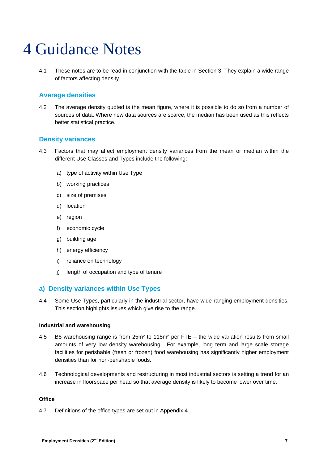## 4 Guidance Notes

4.1 These notes are to be read in conjunction with the table in Section 3. They explain a wide range of factors affecting density.

## **Average densities**

4.2 The average density quoted is the mean figure, where it is possible to do so from a number of sources of data. Where new data sources are scarce, the median has been used as this reflects better statistical practice.

## **Density variances**

- 4.3 Factors that may affect employment density variances from the mean or median within the different Use Classes and Types include the following:
	- a) type of activity within Use Type
	- b) working practices
	- c) size of premises
	- d) location
	- e) region
	- f) economic cycle
	- g) building age
	- h) energy efficiency
	- i) reliance on technology
	- j) length of occupation and type of tenure

### **a) Density variances within Use Types**

4.4 Some Use Types, particularly in the industrial sector, have wide-ranging employment densities. This section highlights issues which give rise to the range.

#### **Industrial and warehousing**

- 4.5 B8 warehousing range is from 25m² to 115m² per FTE the wide variation results from small amounts of very low density warehousing. For example, long term and large scale storage facilities for perishable (fresh or frozen) food warehousing has significantly higher employment densities than for non-perishable foods.
- 4.6 Technological developments and restructuring in most industrial sectors is setting a trend for an increase in floorspace per head so that average density is likely to become lower over time.

#### **Office**

4.7 Definitions of the office types are set out in Appendix 4.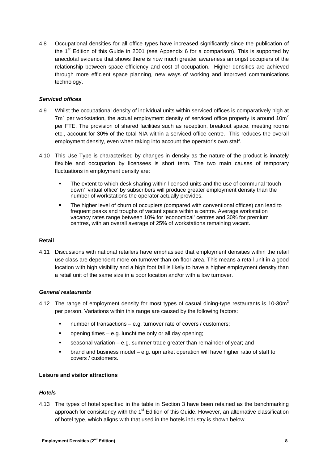4.8 Occupational densities for all office types have increased significantly since the publication of the  $1<sup>st</sup>$  Edition of this Guide in 2001 (see Appendix 6 for a comparison). This is supported by anecdotal evidence that shows there is now much greater awareness amongst occupiers of the relationship between space efficiency and cost of occupation. Higher densities are achieved through more efficient space planning, new ways of working and improved communications technology.

#### *Serviced offices*

- 4.9 Whilst the occupational density of individual units within serviced offices is comparatively high at  $7m^2$  per workstation, the actual employment density of serviced office property is around 10m<sup>2</sup> per FTE. The provision of shared facilities such as reception, breakout space, meeting rooms etc., account for 30% of the total NIA within a serviced office centre. This reduces the overall employment density, even when taking into account the operator's own staff.
- 4.10 This Use Type is characterised by changes in density as the nature of the product is innately flexible and occupation by licensees is short term. The two main causes of temporary fluctuations in employment density are:
	- The extent to which desk sharing within licensed units and the use of communal 'touchdown' 'virtual office' by subscribers will produce greater employment density than the number of workstations the operator actually provides.
	- The higher level of churn of occupiers (compared with conventional offices) can lead to frequent peaks and troughs of vacant space within a centre. Average workstation vacancy rates range between 10% for 'economical' centres and 30% for premium centres, with an overall average of 25% of workstations remaining vacant.

#### **Retail**

4.11 Discussions with national retailers have emphasised that employment densities within the retail use class are dependent more on turnover than on floor area. This means a retail unit in a good location with high visibility and a high foot fall is likely to have a higher employment density than a retail unit of the same size in a poor location and/or with a low turnover.

#### *General restaurants*

- 4.12 The range of employment density for most types of casual dining-type restaurants is 10-30 $m<sup>2</sup>$ per person. Variations within this range are caused by the following factors:
	- number of transactions e.g. turnover rate of covers / customers;
	- popening times  $-$  e.g. lunchtime only or all day opening;
	- seasonal variation e.g. summer trade greater than remainder of year; and
	- brand and business model e.g. upmarket operation will have higher ratio of staff to covers / customers.

#### **Leisure and visitor attractions**

#### *Hotels*

4.13 The types of hotel specified in the table in Section 3 have been retained as the benchmarking approach for consistency with the 1<sup>st</sup> Edition of this Guide. However, an alternative classification of hotel type, which aligns with that used in the hotels industry is shown below.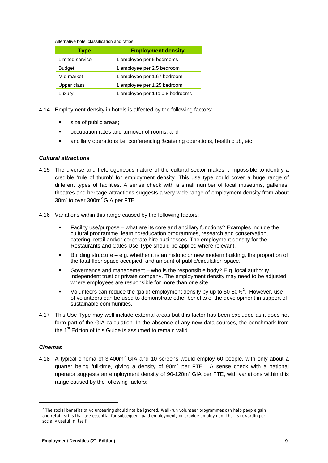Alternative hotel classification and ratios

| <b>Type</b>     | <b>Employment density</b>        |
|-----------------|----------------------------------|
| Limited service | 1 employee per 5 bedrooms        |
| <b>Budget</b>   | 1 employee per 2.5 bedroom       |
| Mid market      | 1 employee per 1.67 bedroom      |
| Upper class     | 1 employee per 1.25 bedroom      |
| Luxury          | 1 employee per 1 to 0.8 bedrooms |

- 4.14 Employment density in hotels is affected by the following factors:
	- size of public areas;
	- occupation rates and turnover of rooms; and
	- ancillary operations i.e. conferencing &catering operations, health club, etc.

#### *Cultural attractions*

- 4.15 The diverse and heterogeneous nature of the cultural sector makes it impossible to identify a credible 'rule of thumb' for employment density. This use type could cover a huge range of different types of facilities. A sense check with a small number of local museums, galleries, theatres and heritage attractions suggests a very wide range of employment density from about 30m<sup>2</sup> to over 300m<sup>2</sup> GIA per FTE.
- 4.16 Variations within this range caused by the following factors:
	- Facility use/purpose what are its core and ancillary functions? Examples include the cultural programme, learning/education programmes, research and conservation, catering, retail and/or corporate hire businesses. The employment density for the Restaurants and Cafés Use Type should be applied where relevant.
	- Building structure e.g. whether it is an historic or new modern building, the proportion of the total floor space occupied, and amount of public/circulation space.
	- Governance and management who is the responsible body? E.g. local authority, independent trust or private company. The employment density may need to be adjusted where employees are responsible for more than one site.
	- Uolunteers can reduce the (paid) employment density by up to 50-80%<sup>2</sup>. However, use of volunteers can be used to demonstrate other benefits of the development in support of sustainable communities.
- 4.17 This Use Type may well include external areas but this factor has been excluded as it does not form part of the GIA calculation. In the absence of any new data sources, the benchmark from the 1<sup>st</sup> Edition of this Guide is assumed to remain valid.

#### *Cinemas*

4.18 A typical cinema of 3,400 $m^2$  GIA and 10 screens would employ 60 people, with only about a quarter being full-time, giving a density of  $90m^2$  per FTE. A sense check with a national operator suggests an employment density of 90-120m<sup>2</sup> GIA per FTE, with variations within this range caused by the following factors:

<sup>&</sup>lt;sup>2</sup> The social benefits of volunteering should not be ignored. Well-run volunteer programmes can help people gain and retain skills that are essential for subsequent paid employment, or provide employment that is rewarding or socially useful in itself.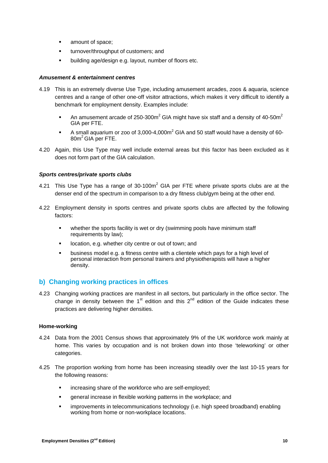- **amount of space:**
- **turnover/throughput of customers; and**
- **•** building age/design e.g. layout, number of floors etc.

#### *Amusement & entertainment centres*

- 4.19 This is an extremely diverse Use Type, including amusement arcades, zoos & aquaria, science centres and a range of other one-off visitor attractions, which makes it very difficult to identify a benchmark for employment density. Examples include:
	- An amusement arcade of 250-300m<sup>2</sup> GIA might have six staff and a density of 40-50m<sup>2</sup> GIA per FTE.
	- A small aquarium or zoo of 3,000-4,000 $m^2$  GIA and 50 staff would have a density of 60 80m<sup>2</sup> GIA per FTE.
- 4.20 Again, this Use Type may well include external areas but this factor has been excluded as it does not form part of the GIA calculation.

#### *Sports centres/private sports clubs*

- 4.21 This Use Type has a range of 30-100 $m^2$  GIA per FTE where private sports clubs are at the denser end of the spectrum in comparison to a dry fitness club/gym being at the other end.
- 4.22 Employment density in sports centres and private sports clubs are affected by the following factors:
	- whether the sports facility is wet or dry (swimming pools have minimum staff requirements by law);
	- **IDED** location, e.g. whether city centre or out of town; and
	- business model e.g. a fitness centre with a clientele which pays for a high level of personal interaction from personal trainers and physiotherapists will have a higher density.

### **b) Changing working practices in offices**

4.23 Changing working practices are manifest in all sectors, but particularly in the office sector. The change in density between the 1<sup>st</sup> edition and this  $2^{nd}$  edition of the Guide indicates these practices are delivering higher densities.

#### **Home-working**

- 4.24 Data from the 2001 Census shows that approximately 9% of the UK workforce work mainly at home. This varies by occupation and is not broken down into those 'teleworking' or other categories.
- 4.25 The proportion working from home has been increasing steadily over the last 10-15 years for the following reasons:
	- **EXEDER** increasing share of the workforce who are self-employed;
	- **EXEDENT** general increase in flexible working patterns in the workplace; and
	- improvements in telecommunications technology (i.e. high speed broadband) enabling working from home or non-workplace locations.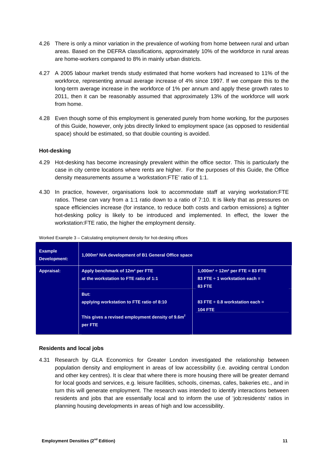- 4.26 There is only a minor variation in the prevalence of working from home between rural and urban areas. Based on the DEFRA classifications, approximately 10% of the workforce in rural areas are home-workers compared to 8% in mainly urban districts.
- 4.27 A 2005 labour market trends study estimated that home workers had increased to 11% of the workforce, representing annual average increase of 4% since 1997. If we compare this to the long-term average increase in the workforce of 1% per annum and apply these growth rates to 2011, then it can be reasonably assumed that approximately 13% of the workforce will work from home.
- 4.28 Even though some of this employment is generated purely from home working, for the purposes of this Guide, however, only jobs directly linked to employment space (as opposed to residential space) should be estimated, so that double counting is avoided.

#### **Hot-desking**

- 4.29 Hot-desking has become increasingly prevalent within the office sector. This is particularly the case in city centre locations where rents are higher. For the purposes of this Guide, the Office density measurements assume a 'workstation:FTE' ratio of 1:1.
- 4.30 In practice, however, organisations look to accommodate staff at varying workstation:FTE ratios. These can vary from a 1:1 ratio down to a ratio of 7:10. It is likely that as pressures on space efficiencies increase (for instance, to reduce both costs and carbon emissions) a tighter hot-desking policy is likely to be introduced and implemented. In effect, the lower the workstation:FTE ratio, the higher the employment density.

| <b>Example</b><br>Development: | 1,000m <sup>2</sup> NIA development of B1 General Office space                                                               |                                                                                               |
|--------------------------------|------------------------------------------------------------------------------------------------------------------------------|-----------------------------------------------------------------------------------------------|
| Appraisal:                     | Apply benchmark of 12m <sup>2</sup> per FTE<br>at the workstation to FTE ratio of 1:1                                        | $1,000m^2 \div 12m^2$ per FTE = 83 FTE<br>83 FTE $\div$ 1 workstation each =<br><b>83 FTE</b> |
|                                | But:<br>applying workstation to FTE ratio of 8:10<br>This gives a revised employment density of 9.6m <sup>2</sup><br>per FTE | 83 FTE $\div$ 0.8 workstation each =<br><b>104 FTE</b>                                        |

Worked Example 3 – Calculating employment density for hot-desking offices

#### **Residents and local jobs**

4.31 Research by GLA Economics for Greater London investigated the relationship between population density and employment in areas of low accessibility (i.e. avoiding central London and other key centres). It is clear that where there is more housing there will be greater demand for local goods and services, e.g. leisure facilities, schools, cinemas, cafes, bakeries etc., and in turn this will generate employment. The research was intended to identify interactions between residents and jobs that are essentially local and to inform the use of 'job:residents' ratios in planning housing developments in areas of high and low accessibility.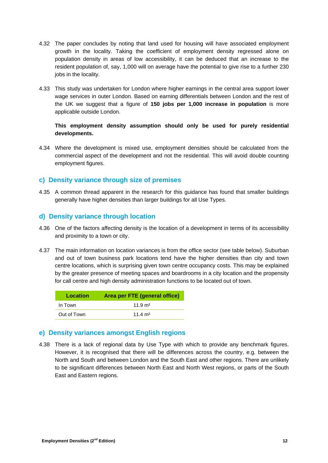- 4.32 The paper concludes by noting that land used for housing will have associated employment growth in the locality. Taking the coefficient of employment density regressed alone on population density in areas of low accessibility, it can be deduced that an increase to the resident population of, say, 1,000 will on average have the potential to give rise to a further 230 jobs in the locality.
- 4.33 This study was undertaken for London where higher earnings in the central area support lower wage services in outer London. Based on earning differentials between London and the rest of the UK we suggest that a figure of **150 jobs per 1,000 increase in population** is more applicable outside London.

#### **This employment density assumption should only be used for purely residential developments.**

4.34 Where the development is mixed use, employment densities should be calculated from the commercial aspect of the development and not the residential. This will avoid double counting employment figures.

## **c) Density variance through size of premises**

4.35 A common thread apparent in the research for this guidance has found that smaller buildings generally have higher densities than larger buildings for all Use Types.

## **d) Density variance through location**

- 4.36 One of the factors affecting density is the location of a development in terms of its accessibility and proximity to a town or city.
- 4.37 The main information on location variances is from the office sector (see table below). Suburban and out of town business park locations tend have the higher densities than city and town centre locations, which is surprising given town centre occupancy costs. This may be explained by the greater presence of meeting spaces and boardrooms in a city location and the propensity for call centre and high density administration functions to be located out of town.

| Location    | Area per FTE (general office) |
|-------------|-------------------------------|
| In Town     | $11.9 \text{ m}^2$            |
| Out of Town | 11.4 $m2$                     |

## **e) Density variances amongst English regions**

4.38 There is a lack of regional data by Use Type with which to provide any benchmark figures. However, it is recognised that there will be differences across the country, e.g. between the North and South and between London and the South East and other regions. There are unlikely to be significant differences between North East and North West regions, or parts of the South East and Eastern regions.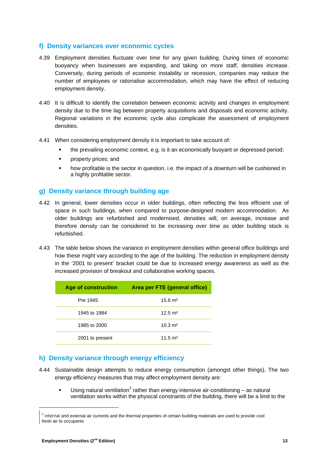## **f) Density variances over economic cycles**

- 4.39 Employment densities fluctuate over time for any given building. During times of economic buoyancy when businesses are expanding, and taking on more staff, densities increase. Conversely, during periods of economic instability or recession, companies may reduce the number of employees or rationalise accommodation, which may have the effect of reducing employment density.
- 4.40 It is difficult to identify the correlation between economic activity and changes in employment density due to the time lag between property acquisitions and disposals and economic activity. Regional variations in the economic cycle also complicate the assessment of employment densities.
- 4.41 When considering employment density it is important to take account of:
	- the prevailing economic context, e.g. is it an economically buoyant or depressed period;
	- **•** property prices; and
	- **•** how profitable is the sector in question, i.e. the impact of a downturn will be cushioned in a highly profitable sector.

### **g) Density variance through building age**

- 4.42 In general, lower densities occur in older buildings, often reflecting the less efficient use of space in such buildings, when compared to purpose-designed modern accommodation. As older buildings are refurbished and modernised, densities will, on average, increase and therefore density can be considered to be increasing over time as older building stock is refurbished.
- 4.43 The table below shows the variance in employment densities within general office buildings and how these might vary according to the age of the building. The reduction in employment density in the '2001 to present' bracket could be due to increased energy awareness as well as the increased provision of breakout and collaborative working spaces.

| <b>Age of construction</b> | Area per FTE (general office) |
|----------------------------|-------------------------------|
| Pre 1945                   | $15.6 \text{ m}^2$            |
| 1945 to 1984               | $12.5 \text{ m}^2$            |
| 1985 to 2000               | $10.3 \text{ m}^2$            |
| 2001 to present            | 11.5 $m2$                     |

### **h) Density variance through energy efficiency**

- 4.44 Sustainable design attempts to reduce energy consumption (amongst other things). The two energy efficiency measures that may affect employment density are:
	- Using natural ventilation<sup>3</sup> rather than energy intensive air-conditioning as natural ventilation works within the physical constraints of the building, there will be a limit to the

<sup>&</sup>lt;sup>3</sup> internal and external air currents and the thermal properties of certain building materials are used to provide cool fresh air to occupants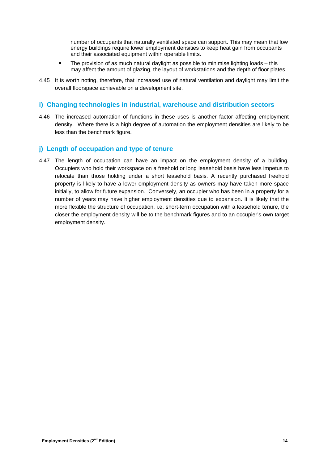number of occupants that naturally ventilated space can support. This may mean that low energy buildings require lower employment densities to keep heat gain from occupants and their associated equipment within operable limits.

- The provision of as much natural daylight as possible to minimise lighting loads this may affect the amount of glazing, the layout of workstations and the depth of floor plates.
- 4.45 It is worth noting, therefore, that increased use of natural ventilation and daylight may limit the overall floorspace achievable on a development site.

### **i) Changing technologies in industrial, warehouse and distribution sectors**

4.46 The increased automation of functions in these uses is another factor affecting employment density. Where there is a high degree of automation the employment densities are likely to be less than the benchmark figure.

## **j) Length of occupation and type of tenure**

4.47 The length of occupation can have an impact on the employment density of a building. Occupiers who hold their workspace on a freehold or long leasehold basis have less impetus to relocate than those holding under a short leasehold basis. A recently purchased freehold property is likely to have a lower employment density as owners may have taken more space initially, to allow for future expansion. Conversely, an occupier who has been in a property for a number of years may have higher employment densities due to expansion. It is likely that the more flexible the structure of occupation, i.e. short-term occupation with a leasehold tenure, the closer the employment density will be to the benchmark figures and to an occupier's own target employment density.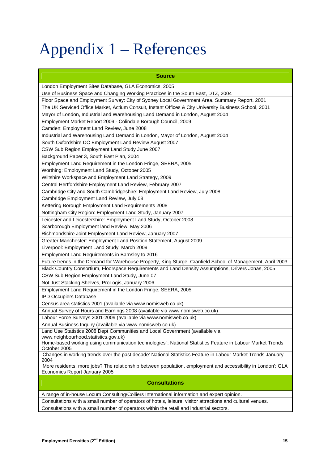## Appendix 1 – References

| <b>Source</b>                                                                                                                                  |
|------------------------------------------------------------------------------------------------------------------------------------------------|
| London Employment Sites Database, GLA Economics, 2005                                                                                          |
| Use of Business Space and Changing Working Practices in the South East, DTZ, 2004                                                              |
| Floor Space and Employment Survey: City of Sydney Local Government Area. Summary Report, 2001                                                  |
| The UK Serviced Office Market, Actium Consult, Instant Offices & City University Business School, 2001                                         |
| Mayor of London, Industrial and Warehousing Land Demand in London, August 2004                                                                 |
| Employment Market Report 2009 - Colindale Borough Council, 2009                                                                                |
| Camden: Employment Land Review, June 2008                                                                                                      |
| Industrial and Warehousing Land Demand in London, Mayor of London, August 2004                                                                 |
| South Oxfordshire DC Employment Land Review August 2007                                                                                        |
| CSW Sub Region Employment Land Study June 2007                                                                                                 |
| Background Paper 3, South East Plan, 2004                                                                                                      |
| Employment Land Requirement in the London Fringe, SEERA, 2005                                                                                  |
| Worthing: Employment Land Study, October 2005                                                                                                  |
| Wiltshire Workspace and Employment Land Strategy, 2009                                                                                         |
| Central Hertfordshire Employment Land Review, February 2007                                                                                    |
| Cambridge City and South Cambridgeshire: Employment Land Review, July 2008                                                                     |
| Cambridge Employment Land Review, July 08                                                                                                      |
| Kettering Borough Employment Land Requirements 2008                                                                                            |
| Nottingham City Region: Employment Land Study, January 2007                                                                                    |
| Leicester and Leicestershire: Employment Land Study, October 2008                                                                              |
| Scarborough Employment land Review, May 2006                                                                                                   |
| Richmondshire Joint Employment Land Review, January 2007                                                                                       |
| Greater Manchester: Employment Land Position Statement, August 2009                                                                            |
| Liverpool: Employment Land Study, March 2009                                                                                                   |
| Employment Land Requirements in Barnsley to 2016                                                                                               |
| Future trends in the Demand for Warehouse Property, King Sturge, Cranfield School of Management, April 2003                                    |
| Black Country Consortium, Floorspace Requirements and Land Density Assumptions, Drivers Jonas, 2005                                            |
| CSW Sub Region Employment Land Study, June 07                                                                                                  |
| Not Just Stacking Shelves, ProLogis, January 2006                                                                                              |
| Employment Land Requirement in the London Fringe, SEERA, 2005                                                                                  |
| <b>IPD Occupiers Database</b>                                                                                                                  |
| Census area statistics 2001 (available via www.nomisweb.co.uk)                                                                                 |
| Annual Survey of Hours and Earnings 2008 (available via www.nomisweb.co.uk)                                                                    |
| Labour Force Surveys 2001-2009 (available via www.nomisweb.co.uk)                                                                              |
| Annual Business Inquiry (available via www.nomisweb.co.uk)                                                                                     |
| Land Use Statistics 2008 Dept Communities and Local Government (available via<br>www.neighbourhood.statistics.gov.uk)                          |
| Home-based working using communication technologies"; National Statistics Feature in Labour Market Trends                                      |
| October 2005                                                                                                                                   |
| 'Changes in working trends over the past decade' National Statistics Feature in Labour Market Trends January<br>2004                           |
| 'More residents, more jobs? The relationship between population, employment and accessibility in London'; GLA<br>Economics Report January 2005 |
| <b>Consultations</b>                                                                                                                           |
| A range of in-house Locum Consulting/Colliers International information and expert opinion.                                                    |
| Consultations with a small number of operators of hotels, leisure, visitor attractions and cultural venues.                                    |

Consultations with a small number of operators within the retail and industrial sectors.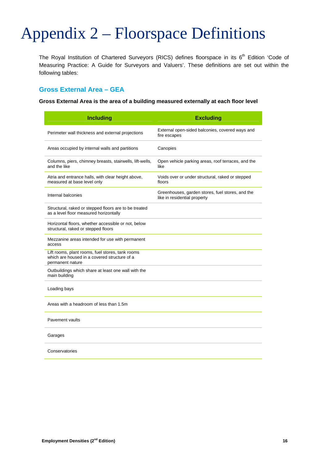## Appendix 2 – Floorspace Definitions

The Royal Institution of Chartered Surveyors (RICS) defines floorspace in its 6<sup>th</sup> Edition 'Code of Measuring Practice: A Guide for Surveyors and Valuers'. These definitions are set out within the following tables:

## **Gross External Area – GEA**

**Gross External Area is the area of a building measured externally at each floor level** 

| <b>Including</b>                                                                                                     | <b>Excluding</b>                                                                 |
|----------------------------------------------------------------------------------------------------------------------|----------------------------------------------------------------------------------|
| Perimeter wall thickness and external projections                                                                    | External open-sided balconies, covered ways and<br>fire escapes                  |
| Areas occupied by internal walls and partitions                                                                      | Canopies                                                                         |
| Columns, piers, chimney breasts, stairwells, lift-wells,<br>and the like                                             | Open vehicle parking areas, roof terraces, and the<br>like                       |
| Atria and entrance halls, with clear height above,<br>measured at base level only                                    | Voids over or under structural, raked or stepped<br>floors                       |
| Internal balconies                                                                                                   | Greenhouses, garden stores, fuel stores, and the<br>like in residential property |
| Structural, raked or stepped floors are to be treated<br>as a level floor measured horizontally                      |                                                                                  |
| Horizontal floors, whether accessible or not, below<br>structural, raked or stepped floors                           |                                                                                  |
| Mezzanine areas intended for use with permanent<br>access                                                            |                                                                                  |
| Lift rooms, plant rooms, fuel stores, tank rooms<br>which are housed in a covered structure of a<br>permanent nature |                                                                                  |
| Outbuildings which share at least one wall with the<br>main building                                                 |                                                                                  |
| Loading bays                                                                                                         |                                                                                  |
| Areas with a headroom of less than 1.5m                                                                              |                                                                                  |
| Pavement vaults                                                                                                      |                                                                                  |
| Garages                                                                                                              |                                                                                  |
| Conservatories                                                                                                       |                                                                                  |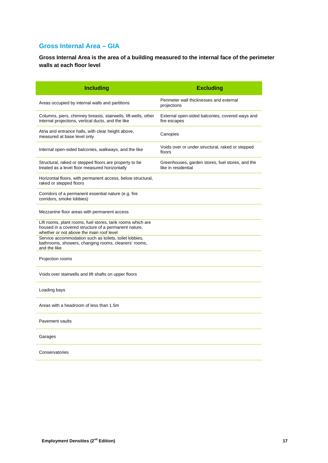## **Gross Internal Area – GIA**

**Gross Internal Area is the area of a building measured to the internal face of the perimeter walls at each floor level** 

| <b>Including</b>                                                                                                                                               | <b>Excluding</b>                                                        |
|----------------------------------------------------------------------------------------------------------------------------------------------------------------|-------------------------------------------------------------------------|
| Areas occupied by internal walls and partitions                                                                                                                | Perimeter wall thicknesses and external<br>projections                  |
| Columns, piers, chimney breasts, stairwells, lift-wells, other<br>internal projections, vertical ducts, and the like                                           | External open-sided balconies, covered ways and<br>fire escapes         |
| Atria and entrance halls, with clear height above,<br>measured at base level only                                                                              | Canopies                                                                |
| Internal open-sided balconies, walkways, and the like                                                                                                          | Voids over or under structural, raked or stepped<br>floors              |
| Structural, raked or stepped floors are property to be<br>treated as a level floor measured horizontally                                                       | Greenhouses, garden stores, fuel stores, and the<br>like in residential |
| Horizontal floors, with permanent access, below structural,<br>raked or stepped floors                                                                         |                                                                         |
| Corridors of a permanent essential nature (e.g. fire<br>corridors, smoke lobbies)                                                                              |                                                                         |
| Mezzanine floor areas with permanent access                                                                                                                    |                                                                         |
| Lift rooms, plant rooms, fuel stores, tank rooms which are<br>housed in a covered structure of a permanent nature,<br>whether or not above the main roof level |                                                                         |
| Service accommodation such as toilets, toilet lobbies,<br>bathrooms, showers, changing rooms, cleaners' rooms,<br>and the like                                 |                                                                         |
| Projection rooms                                                                                                                                               |                                                                         |
| Voids over stairwells and lift shafts on upper floors                                                                                                          |                                                                         |
| Loading bays                                                                                                                                                   |                                                                         |
| Areas with a headroom of less than 1.5m                                                                                                                        |                                                                         |
| <b>Pavement vaults</b>                                                                                                                                         |                                                                         |
| Garages                                                                                                                                                        |                                                                         |
| Conservatories                                                                                                                                                 |                                                                         |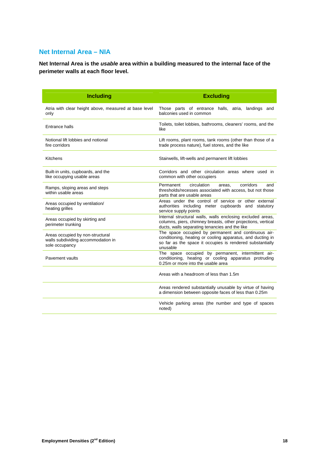## **Net Internal Area – NIA**

**Net Internal Area is the** *usable* **area within a building measured to the internal face of the perimeter walls at each floor level.** 

| <b>Including</b>                                                                         | <b>Excluding</b>                                                                                                                                                                           |  |  |  |  |  |
|------------------------------------------------------------------------------------------|--------------------------------------------------------------------------------------------------------------------------------------------------------------------------------------------|--|--|--|--|--|
| Atria with clear height above, measured at base level<br>only                            | Those parts of entrance halls, atria, landings and<br>balconies used in common                                                                                                             |  |  |  |  |  |
| Entrance halls                                                                           | Toilets, toilet lobbies, bathrooms, cleaners' rooms, and the<br>like                                                                                                                       |  |  |  |  |  |
| Notional lift lobbies and notional<br>fire corridors                                     | Lift rooms, plant rooms, tank rooms (other than those of a<br>trade process nature), fuel stores, and the like                                                                             |  |  |  |  |  |
| Kitchens                                                                                 | Stairwells, lift-wells and permanent lift lobbies                                                                                                                                          |  |  |  |  |  |
| Built-in units, cupboards, and the<br>like occupying usable areas                        | Corridors and other circulation areas where used in<br>common with other occupiers                                                                                                         |  |  |  |  |  |
| Ramps, sloping areas and steps<br>within usable areas                                    | Permanent<br>circulation<br>corridors<br>and<br>areas.<br>thresholds/recesses associated with access, but not those<br>parts that are usable areas                                         |  |  |  |  |  |
| Areas occupied by ventilation/<br>heating grilles                                        | Areas under the control of service or other external<br>authorities including meter cupboards and statutory<br>service supply points                                                       |  |  |  |  |  |
| Areas occupied by skirting and<br>perimeter trunking                                     | Internal structural walls, walls enclosing excluded areas,<br>columns, piers, chimney breasts, other projections, vertical<br>ducts, walls separating tenancies and the like               |  |  |  |  |  |
| Areas occupied by non-structural<br>walls subdividing accommodation in<br>sole occupancy | The space occupied by permanent and continuous air-<br>conditioning, heating or cooling apparatus, and ducting in<br>so far as the space it occupies is rendered substantially<br>unusable |  |  |  |  |  |
| Pavement vaults                                                                          | The space occupied by permanent, intermittent air-<br>conditioning, heating or cooling apparatus protruding<br>0.25m or more into the usable area                                          |  |  |  |  |  |
|                                                                                          | Areas with a headroom of less than 1.5m                                                                                                                                                    |  |  |  |  |  |
|                                                                                          | Areas rendered substantially unusable by virtue of having<br>a dimension between opposite faces of less than 0.25m                                                                         |  |  |  |  |  |
|                                                                                          | Vehicle parking areas (the number and type of spaces<br>noted)                                                                                                                             |  |  |  |  |  |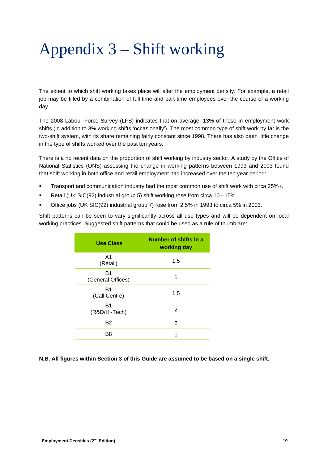## Appendix 3 – Shift working

The extent to which shift working takes place will alter the employment density. For example, a retail job may be filled by a combination of full-time and part-time employees over the course of a working day.

The 2008 Labour Force Survey (LFS) indicates that on average, 13% of those in employment work shifts (in addition to 3% working shifts 'occasionally'). The most common type of shift work by far is the two-shift system, with its share remaining fairly constant since 1998. There has also been little change in the type of shifts worked over the past ten years.

There is a no recent data on the proportion of shift working by industry sector. A study by the Office of National Statistics (ONS) assessing the change in working patterns between 1993 and 2003 found that shift working in both office and retail employment had increased over the ten year period:

- Transport and communication industry had the most common use of shift work with circa 25%+.
- Retail (UK SIC(92) industrial group 5) shift working rose from circa 10 15%.
- Office jobs (UK SIC(92) industrial group 7) rose from 2.5% in 1993 to circa 5% in 2003.

Shift patterns can be seen to vary significantly across all use types and will be dependent on local working practices. Suggested shift patterns that could be used as a rule of thumb are:

| <b>Use Class</b>        | Number of shifts in a<br>working day |  |  |
|-------------------------|--------------------------------------|--|--|
| A1<br>(Retail)          | 1.5                                  |  |  |
| B1<br>(General Offices) | 1                                    |  |  |
| B1<br>(Call Centre)     | 1.5                                  |  |  |
| B1<br>(R&D/Hi-Tech)     | 2                                    |  |  |
| <b>B2</b>               | 2                                    |  |  |
| B8                      | 1                                    |  |  |

#### **N.B. All figures within Section 3 of this Guide are assumed to be based on a single shift.**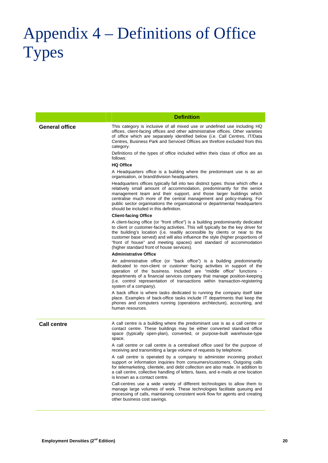## Appendix 4 – Definitions of Office **Types**

|                       | <b>Definition</b>                                                                                                                                                                                                                                                                                                                                                                                                                                          |  |  |
|-----------------------|------------------------------------------------------------------------------------------------------------------------------------------------------------------------------------------------------------------------------------------------------------------------------------------------------------------------------------------------------------------------------------------------------------------------------------------------------------|--|--|
| <b>General office</b> | This category is inclusive of all mixed use or undefined use including HQ<br>offices, client-facing offices and other administrative offices. Other varieties<br>of office which are separately identified below (i.e. Call Centres, IT/Data<br>Centres, Business Park and Serviced Offices are threfore excluded from this<br>category.                                                                                                                   |  |  |
|                       | Definitions of the types of office included within theis class of office are as<br>follows:                                                                                                                                                                                                                                                                                                                                                                |  |  |
|                       | <b>HQ Office</b>                                                                                                                                                                                                                                                                                                                                                                                                                                           |  |  |
|                       | A Headquarters office is a building where the predominant use is as an<br>organisation, or brand/division headquarters.                                                                                                                                                                                                                                                                                                                                    |  |  |
|                       | Headquarters offices typically fall into two distinct types: those which offer a<br>relatively small amount of accommodation, predominantly for the senior<br>management team and their support, and those larger buildings which<br>centralise much more of the central management and policy-making. For<br>public sector organisations the organisational or departmental headquarters<br>should be included in this definition.                        |  |  |
|                       | <b>Client-facing Office</b>                                                                                                                                                                                                                                                                                                                                                                                                                                |  |  |
|                       | A client-facing office (or "front office") is a building predominantly dedicated<br>to client or customer-facing activities. This will typically be the key driver for<br>the building's location (i.e. readily accessible by clients or near to the<br>customer base served) and will also influence the style (higher proportions of<br>"front of house" and meeting spaces) and standard of accommodation<br>(higher standard front of house services). |  |  |
|                       | <b>Administrative Office</b>                                                                                                                                                                                                                                                                                                                                                                                                                               |  |  |
|                       | An administrative office (or "back office") is a building predominantly<br>dedicated to non-client or customer facing activities in support of the<br>operation of the business. Included are "middle office" functions -<br>departments of a financial services company that manage position-keeping<br>(i.e. control representation of transactions within transaction-registering<br>system of a company).                                              |  |  |
|                       | A back office is where tasks dedicated to running the company itself take<br>place. Examples of back-office tasks include IT departments that keep the<br>phones and computers running (operations architecture), accounting, and<br>human resources.                                                                                                                                                                                                      |  |  |
| <b>Call centre</b>    | A call centre is a building where the predominant use is as a call centre or<br>contact centre. These buildings may be either converted standard office<br>space (typically open-plan), converted, or purpose-built warehouse-type<br>space.                                                                                                                                                                                                               |  |  |
|                       | A call centre or call centre is a centralised office used for the purpose of<br>receiving and transmitting a large volume of requests by telephone.                                                                                                                                                                                                                                                                                                        |  |  |
|                       | A call centre is operated by a company to administer incoming product<br>support or information inquiries from consumers/customers. Outgoing calls<br>for telemarketing, clientele, and debt collection are also made. In addition to<br>a call centre, collective handling of letters, faxes, and e-mails at one location<br>is known as a contact centre.                                                                                                |  |  |
|                       | Call-centres use a wide variety of different technologies to allow them to<br>manage large volumes of work. These technologies facilitate queuing and<br>processing of calls, maintaining consistent work flow for agents and creating<br>other business cost savings.                                                                                                                                                                                     |  |  |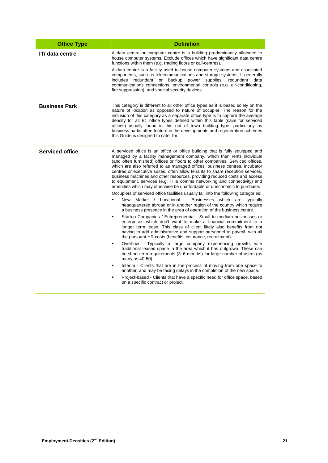| <b>Office Type</b>     | <b>Definition</b>                                                                                                                                                                                                                                                                                                                                                                                                                                                                                                                                                                                                                                                                                                                                                                                                                                                                                                                                                                                                                                                                                                                                                                                                                                                                                                                                                                                                                                                                                                                                                                                                                                                                                                                                                                                                                                      |  |  |  |
|------------------------|--------------------------------------------------------------------------------------------------------------------------------------------------------------------------------------------------------------------------------------------------------------------------------------------------------------------------------------------------------------------------------------------------------------------------------------------------------------------------------------------------------------------------------------------------------------------------------------------------------------------------------------------------------------------------------------------------------------------------------------------------------------------------------------------------------------------------------------------------------------------------------------------------------------------------------------------------------------------------------------------------------------------------------------------------------------------------------------------------------------------------------------------------------------------------------------------------------------------------------------------------------------------------------------------------------------------------------------------------------------------------------------------------------------------------------------------------------------------------------------------------------------------------------------------------------------------------------------------------------------------------------------------------------------------------------------------------------------------------------------------------------------------------------------------------------------------------------------------------------|--|--|--|
| IT/ data centre        | A data centre or computer centre is a building predominantly allocated to<br>house computer systems. Exclude offices which have significant data centre<br>functions within them (e.g. trading floors or call-centres).<br>A data centre is a facility used to house computer systems and associated<br>components, such as telecommunications and storage systems. It generally<br>backup<br>includes<br>redundant<br>power<br>supplies,<br>redundant<br>data<br>or<br>communications connections, environmental controls (e.g. air-conditioning,<br>fire suppression), and special security devices.                                                                                                                                                                                                                                                                                                                                                                                                                                                                                                                                                                                                                                                                                                                                                                                                                                                                                                                                                                                                                                                                                                                                                                                                                                                 |  |  |  |
| <b>Business Park</b>   | This category is different to all other office types as it is based solely on the<br>nature of location as opposed to nature of occupier. The reason for the<br>inclusion of this category as a separate office type is to capture the average<br>density for all B1 office types defined within this table (save for serviced<br>offices) usually found in this out of town building type, particularly as<br>business parks often feature in the developments and regeneration schemes<br>this Guide is designed to cater for.                                                                                                                                                                                                                                                                                                                                                                                                                                                                                                                                                                                                                                                                                                                                                                                                                                                                                                                                                                                                                                                                                                                                                                                                                                                                                                                       |  |  |  |
| <b>Serviced office</b> | A serviced office is an office or office building that is fully equipped and<br>managed by a facility management company, which then rents individual<br>(and often furnished) offices or floors to other companies. Serviced offices,<br>which are also referred to as managed offices, business centres, incubator<br>centres or executive suites, often allow tenants to share reception services,<br>business machines and other resources, providing reduced costs and access<br>to equipment, services (e.g. IT & comms networking and connectivity) and<br>amenities which may otherwise be unaffordable or uneconomic to purchase.<br>Occupiers of serviced office facilities usually fall into the following categories:<br>New<br>Market / Locational - Businesses which are typically<br>headquartered abroad or in another region of the country which require<br>a business presence in the area of operation of the business centre.<br>Startup Companies / Entrepreneurial - Small to medium businesses or<br>enterprises which don't want to make a financial commitment to a<br>longer term lease. This class of client likely also benefits from not<br>having to add administrative and support personnel to payroll, with all<br>the pursuant HR costs (benefits, insurance, recruitment).<br>Overflow - Typically a large company experiencing growth, with<br>٠<br>traditional leased space in the area which it has outgrown. These can<br>be short-term requirements (3–6 months) for large number of users (as<br>many as 40-50).<br>Interim - Clients that are in the process of moving from one space to<br>٠<br>another, and may be facing delays in the completion of the new space.<br>Project-based - Clients that have a specific need for office space, based<br>$\blacksquare$<br>on a specific contract or project. |  |  |  |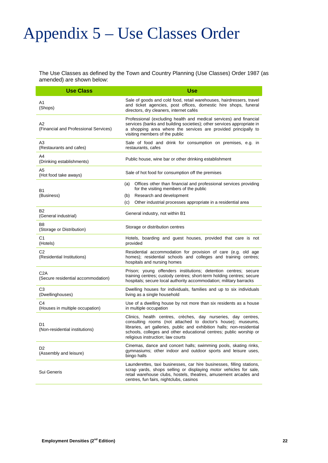## Appendix 5 – Use Classes Order

The Use Classes as defined by the Town and Country Planning (Use Classes) Order 1987 (as amended) are shown below:

| <b>Use Class</b>                                       | <b>Use</b>                                                                                                                                                                                                                                                                                                        |  |  |  |  |
|--------------------------------------------------------|-------------------------------------------------------------------------------------------------------------------------------------------------------------------------------------------------------------------------------------------------------------------------------------------------------------------|--|--|--|--|
| A1<br>(Shops)                                          | Sale of goods and cold food, retail warehouses, hairdressers, travel<br>and ticket agencies, post offices, domestic hire shops, funeral<br>directors, dry cleaners, internet cafés                                                                                                                                |  |  |  |  |
| A2<br>(Financial and Professional Services)            | Professional (excluding health and medical services) and financial<br>services (banks and building societies); other services appropriate in<br>a shopping area where the services are provided principally to<br>visiting members of the public                                                                  |  |  |  |  |
| A <sub>3</sub><br>(Restaurants and cafes)              | Sale of food and drink for consumption on premises, e.g. in<br>restaurants, cafes                                                                                                                                                                                                                                 |  |  |  |  |
| A4<br>(Drinking establishments)                        | Public house, wine bar or other drinking establishment                                                                                                                                                                                                                                                            |  |  |  |  |
| A5<br>(Hot food take aways)                            | Sale of hot food for consumption off the premises                                                                                                                                                                                                                                                                 |  |  |  |  |
| B1<br>(Business)                                       | Offices other than financial and professional services providing<br>(a)<br>for the visiting members of the public<br>Research and development<br>(b)<br>Other industrial processes appropriate in a residential area<br>(c)                                                                                       |  |  |  |  |
| <b>B2</b><br>(General industrial)                      | General industry, not within B1                                                                                                                                                                                                                                                                                   |  |  |  |  |
| B8<br>(Storage or Distribution)                        | Storage or distribution centres                                                                                                                                                                                                                                                                                   |  |  |  |  |
| C1<br>(Hotels)                                         | Hotels, boarding and guest houses, provided that care is not<br>provided                                                                                                                                                                                                                                          |  |  |  |  |
| C <sub>2</sub><br>(Residential Institutions)           | Residential accommodation for provision of care (e.g. old age<br>homes); residential schools and colleges and training centres;<br>hospitals and nursing homes                                                                                                                                                    |  |  |  |  |
| C <sub>2</sub> A<br>(Secure residential accommodation) | Prison; young offenders institutions; detention centres; secure<br>training centres; custody centres; short-term holding centres; secure<br>hospitals; secure local authority accommodation; military barracks                                                                                                    |  |  |  |  |
| C <sub>3</sub><br>(Dwellinghouses)                     | Dwelling houses for individuals, families and up to six individuals<br>living as a single household                                                                                                                                                                                                               |  |  |  |  |
| C <sub>4</sub><br>(Houses in multiple occupation)      | Use of a dwelling house by not more than six residents as a house<br>in multiple occupation                                                                                                                                                                                                                       |  |  |  |  |
| D1<br>(Non-residential institutions)                   | Clinics, health centres, crèches, day nurseries, day centres,<br>consulting rooms (not attached to doctor's house); museums,<br>libraries, art galleries, public and exhibition halls; non-residential<br>schools, colleges and other educational centres; public worship or<br>religious instruction; law courts |  |  |  |  |
| D <sub>2</sub><br>(Assembly and leisure)               | Cinemas, dance and concert halls; swimming pools, skating rinks,<br>gymnasiums; other indoor and outdoor sports and leisure uses,<br>bingo halls                                                                                                                                                                  |  |  |  |  |
| Sui Generis                                            | Launderettes, taxi businesses, car hire businesses, filling stations,<br>scrap yards, shops selling or displaying motor vehicles for sale,<br>retail warehouse clubs, hostels, theatres, amusement arcades and<br>centres, fun fairs, nightclubs, casinos                                                         |  |  |  |  |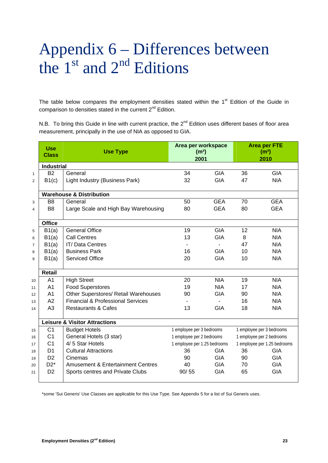## Appendix 6 – Differences between the  $1<sup>st</sup>$  and  $2<sup>nd</sup>$  Editions

The table below compares the employment densities stated within the 1<sup>st</sup> Edition of the Guide in comparison to densities stated in the current  $2^{nd}$  Edition.

N.B. To bring this Guide in line with current practice, the 2<sup>nd</sup> Edition uses different bases of floor area measurement, principally in the use of NIA as opposed to GIA.

|                | <b>Use</b><br><b>Class</b> | <b>Use Type</b>                              | Area per workspace<br>(m <sup>2</sup> )<br>2001 |                | <b>Area per FTE</b><br>(m <sup>2</sup> )<br>2010 |            |
|----------------|----------------------------|----------------------------------------------|-------------------------------------------------|----------------|--------------------------------------------------|------------|
|                | <b>Industrial</b>          |                                              |                                                 |                |                                                  |            |
| $\mathbf{1}$   | <b>B2</b>                  | General                                      | 34                                              | <b>GIA</b>     | 36                                               | <b>GIA</b> |
| $\overline{2}$ | B1(c)                      | Light Industry (Business Park)               | 32                                              | <b>GIA</b>     | 47                                               | <b>NIA</b> |
|                |                            | <b>Warehouse &amp; Distribution</b>          |                                                 |                |                                                  |            |
| 3              | B <sub>8</sub>             | General                                      | 50                                              | <b>GEA</b>     | 70                                               | <b>GEA</b> |
| $\overline{4}$ | B <sub>8</sub>             | Large Scale and High Bay Warehousing         | 80                                              | <b>GEA</b>     | 80                                               | <b>GEA</b> |
|                | <b>Office</b>              |                                              |                                                 |                |                                                  |            |
| 5              | B1(a)                      | <b>General Office</b>                        | 19                                              | <b>GIA</b>     | 12                                               | <b>NIA</b> |
| 6              | B1(a)                      | <b>Call Centres</b>                          | 13                                              | <b>GIA</b>     | 8                                                | <b>NIA</b> |
| $\overline{7}$ | B1(a)                      | <b>IT/Data Centres</b>                       | $\sim$                                          | $\blacksquare$ | 47                                               | <b>NIA</b> |
| 8              | B1(a)                      | <b>Business Park</b>                         | 16                                              | <b>GIA</b>     | 10                                               | <b>NIA</b> |
| 9              | B1(a)                      | <b>Serviced Office</b>                       | 20                                              | <b>GIA</b>     | 10                                               | <b>NIA</b> |
|                | <b>Retail</b>              |                                              |                                                 |                |                                                  |            |
| 10             | A <sub>1</sub>             | <b>High Street</b>                           | 20                                              | <b>NIA</b>     | 19                                               | <b>NIA</b> |
| 11             | A <sub>1</sub>             | <b>Food Superstores</b>                      | 19                                              | <b>NIA</b>     | 17                                               | <b>NIA</b> |
| 12             | A <sub>1</sub>             | Other Superstores/ Retail Warehouses         | 90                                              | <b>GIA</b>     | 90                                               | <b>NIA</b> |
| 13             | A2                         | <b>Financial &amp; Professional Services</b> |                                                 |                | 16                                               | <b>NIA</b> |
| 14             | A <sub>3</sub>             | <b>Restaurants &amp; Cafes</b>               | 13                                              | <b>GIA</b>     | 18                                               | <b>NIA</b> |
|                |                            | <b>Leisure &amp; Visitor Attractions</b>     |                                                 |                |                                                  |            |
| 15             | C <sub>1</sub>             | <b>Budget Hotels</b>                         | 1 employee per 3 bedrooms                       |                | 1 employee per 3 bedrooms                        |            |
| 16             | C <sub>1</sub>             | General Hotels (3 star)                      | 1 employee per 2 bedrooms                       |                | 1 employee per 2 bedrooms                        |            |
| 17             | C <sub>1</sub>             | 4/5 Star Hotels                              | 1 employee per 1.25 bedrooms                    |                | 1 employee per 1.25 bedrooms                     |            |
| 18             | D <sub>1</sub>             | <b>Cultural Attractions</b>                  | 36                                              | <b>GIA</b>     | 36                                               | <b>GIA</b> |
| 19             | D <sub>2</sub>             | Cinemas                                      | 90                                              | <b>GIA</b>     | 90                                               | <b>GIA</b> |
| 20             | $D2^*$                     | <b>Amusement &amp; Entertainment Centres</b> | 40                                              | <b>GIA</b>     | 70                                               | <b>GIA</b> |
| 21             | D <sub>2</sub>             | Sports centres and Private Clubs             | 90/55                                           | <b>GIA</b>     | 65                                               | <b>GIA</b> |

\*some 'Sui Generis' Use Classes are applicable for this Use Type. See Appendix 5 for a list of Sui Generis uses.